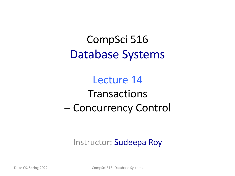CompSci 516 Database Systems

Lecture 14 **Transactions** – Concurrency Control

Instructor: Sudeepa Roy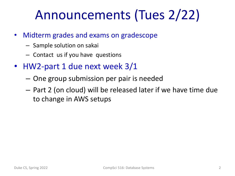# Announcements (Tues 2/22)

- Midterm grades and exams on gradescope
	- Sample solution on sakai
	- Contact us if you have questions
- HW2-part 1 due next week 3/1
	- One group submission per pair is needed
	- Part 2 (on cloud) will be released later if we have time due to change in AWS setups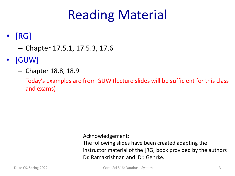# Reading Material

### • [RG]

- Chapter 17.5.1, 17.5.3, 17.6
- [GUW]
	- Chapter 18.8, 18.9
	- Today's examples are from GUW (lecture slides will be sufficient for this class and exams)

Acknowledgement:

The following slides have been created adapting the instructor material of the [RG] book provided by the authors Dr. Ramakrishnan and Dr. Gehrke.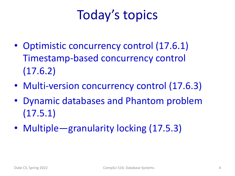# Today's topics

- Optimistic concurrency control (17.6.1) Timestamp-based concurrency control (17.6.2)
- Multi-version concurrency control (17.6.3)
- Dynamic databases and Phantom problem (17.5.1)
- Multiple—granularity locking (17.5.3)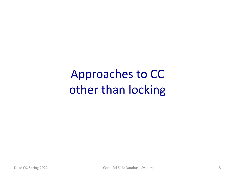Approaches to CC other than locking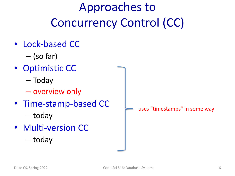# Approaches to Concurrency Control (CC)

- Lock-based CC
	- (so far)
- Optimistic CC
	- Today
	- overview only
- Time-stamp-based CC
	- today
- Multi-version CC
	- today

uses "timestamps" in some way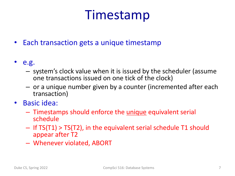# Timestamp

- Each transaction gets a unique timestamp
- e.g.
	- system's clock value when it is issued by the scheduler (assume one transactions issued on one tick of the clock)
	- or a unique number given by a counter (incremented after each transaction)
- Basic idea:
	- Timestamps should enforce the unique equivalent serial schedule
	- If TS(T1) > TS(T2), in the equivalent serial schedule T1 should appear after T2
	- Whenever violated, ABORT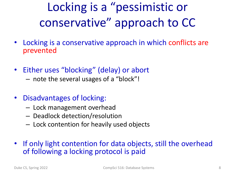# Locking is a "pessimistic or conservative" approach to CC

- Locking is a conservative approach in which conflicts are prevented
- Either uses "blocking" (delay) or abort
	- note the several usages of a "block"!
- Disadvantages of locking:
	- Lock management overhead
	- Deadlock detection/resolution
	- Lock contention for heavily used objects
- If only light contention for data objects, still the overhead of following a locking protocol is paid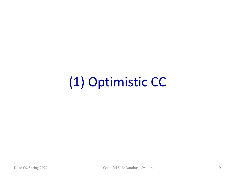# (1) Optimistic CC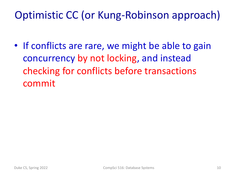### Optimistic CC (or Kung-Robinson approach)

• If conflicts are rare, we might be able to gain concurrency by not locking, and instead checking for conflicts before transactions commit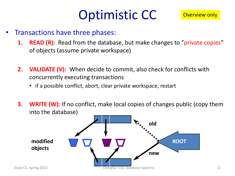# Optimistic CC

- Transactions have three phases:
	- **1. READ (R):** Read from the database, but make changes to "private copies" of objects (assume private workspace)
	- **2. VALIDATE (V):** When decide to commit, also check for conflicts with concurrently executing transactions
		- if a possible conflict, abort, clear private workspace, restart
	- **3. WRITE (W):** If no conflict, make local copies of changes public (copy them into the database)

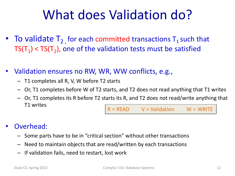# What does Validation do?

- To validate  $T_2$  for each committed transactions  $T_1$  such that  $TS(T_1)$  <  $TS(T_2)$ , one of the validation tests must be satisfied
- Validation ensures no RW, WR, WW conflicts, e.g.,
	- T1 completes all R, V, W before T2 starts
	- Or, T1 completes before W of T2 starts, and T2 does not read anything that T1 writes
	- Or, T1 completes its R before T2 starts its R, and T2 does not read/write anything that T1 writes  $R = READ$   $V = Validation$   $W = WRITE$
- Overhead:
	- Some parts have to be in "critical section" without other transactions
	- Need to maintain objects that are read/written by each transactions
	- If validation fails, need to restart, lost work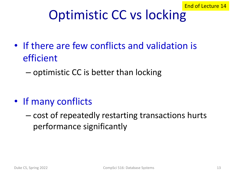# Optimistic CC vs locking

- If there are few conflicts and validation is efficient
	- optimistic CC is better than locking

- If many conflicts
	- cost of repeatedly restarting transactions hurts performance significantly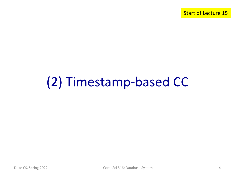Start of Lecture 15

# (2) Timestamp-based CC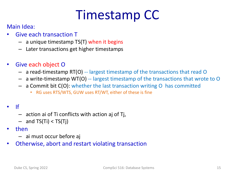# Timestamp CC

### Main Idea:

- Give each transaction T
	- a unique timestamp TS(T) when it begins
	- Later transactions get higher timestamps
- Give each object O
	- a read-timestamp RT(O) -- largest timestamp of the transactions that read O
	- a write-timestamp WT(O) -- largest timestamp of the transactions that wrote to O
	- a Commit bit C(O): whether the last transaction writing O has committed
		- RG uses RTS/WTS, GUW uses RT/WT, either of these is fine

#### • If

- action ai of Ti conflicts with action aj of Tj,
- $-$  and TS(Ti) < TS(Ti)
- then
	- ai must occur before aj
- Otherwise, abort and restart violating transaction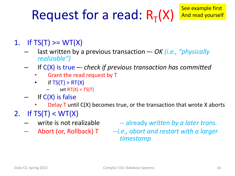# Request for a read:  $R_T(X)$

- 1. If  $TS(T) \geq W T(X)$ 
	- last written by a previous transaction –- *OK (i.e., "physically realizable")*
	- If C(X) is true –- *check if previous transaction has committed*
		- Grant the read request by T
		- if  $TS(T) > RT(X)$ 
			- set  $RT(X) = TS(T)$
	- If C(X) is false
		- **Delay T** until  $C(X)$  becomes true, or the transaction that wrote X aborts
- 2. If  $TS(T) < WT(X)$ 
	-
	-

– write is not realizable -- already *written by a later trans.*

– Abort (or, Rollback) T --*i.e., abort and restart with a larger timestamp*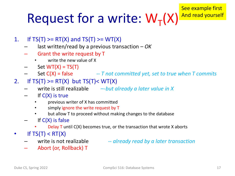# Request for a write:  $W_T(X)$

- 1. If  $TS(T) \geq RT(X)$  and  $TS(T) \geq W(T(X))$ 
	- last written/read by a previous transaction *OK*
	- Grant the write request by T
		- write the new value of X
	- Set  $WT(X) = TS(T)$
	- Set C(X) = false *-- T not committed yet, set to true when T commits*
- 2. If  $TS(T) \geq RT(X)$  but  $TS(T) \leq WT(X)$ 
	- write is still realizable –-*but already a later value in X*
	- $-$  If  $C(X)$  is true
		- previous writer of X has committed
		- simply ignore the write request by T
		- but allow T to proceed without making changes to the database
	- If  $C(X)$  is false
		- Delay  $\overline{T}$  until  $C(X)$  becomes true, or the transaction that wrote X aborts
- If  $TS(T) < RT(X)$ 
	-
- write is not realizable -- *already read by a later transaction*
	- Abort (or, Rollback) T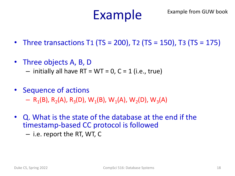# Example

- Three transactions T1 (TS = 200), T2 (TS = 150), T3 (TS = 175)
- Three objects A, B, D
	- $-$  initially all have RT = WT = 0, C = 1 (i.e., true)
- Sequence of actions

 $-$  R<sub>1</sub>(B), R<sub>2</sub>(A), R<sub>3</sub>(D), W<sub>1</sub>(B), W<sub>1</sub>(A), W<sub>2</sub>(D), W<sub>3</sub>(A)

- Q. What is the state of the database at the end if the timestamp-based CC protocol is followed
	- i.e. report the RT, WT, C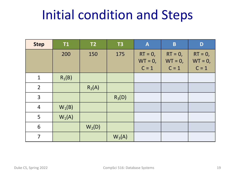# Initial condition and Steps

| <b>Step</b>    | T1       | T2       | <b>T3</b> | $\mathbf{A}$                       | $\mathbf{B}$                       | D                                  |
|----------------|----------|----------|-----------|------------------------------------|------------------------------------|------------------------------------|
|                | 200      | 150      | 175       | $RT = 0$ ,<br>$WT = 0,$<br>$C = 1$ | $RT = 0$ ,<br>$WT = 0,$<br>$C = 1$ | $RT = 0$ ,<br>$WT = 0,$<br>$C = 1$ |
| $\mathbf{1}$   | $R_1(B)$ |          |           |                                    |                                    |                                    |
| $\overline{2}$ |          | $R_2(A)$ |           |                                    |                                    |                                    |
| 3              |          |          | $R_3(D)$  |                                    |                                    |                                    |
| $\overline{4}$ | $W_1(B)$ |          |           |                                    |                                    |                                    |
| 5              | $W_1(A)$ |          |           |                                    |                                    |                                    |
| 6              |          | $W_2(D)$ |           |                                    |                                    |                                    |
| $\overline{7}$ |          |          | $W_3(A)$  |                                    |                                    |                                    |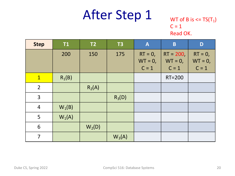### WT of B is  $\leq$  TS(T<sub>1</sub>)  $C = 1$ Read OK.

| <b>Step</b>    | <b>T1</b> | T2       | T3       | $\mathbf{A}$                        | $\mathbf B$                          | D                                  |
|----------------|-----------|----------|----------|-------------------------------------|--------------------------------------|------------------------------------|
|                | 200       | 150      | 175      | $RT = 0$ ,<br>$WT = 0$ ,<br>$C = 1$ | $RT = 200,$<br>$WT = 0$ ,<br>$C = 1$ | $RT = 0$ ,<br>$WT = 0,$<br>$C = 1$ |
| $\mathbf{1}$   | $R_1(B)$  |          |          |                                     | <b>RT=200</b>                        |                                    |
| $\overline{2}$ |           | $R_2(A)$ |          |                                     |                                      |                                    |
| $\overline{3}$ |           |          | $R_3(D)$ |                                     |                                      |                                    |
| $\overline{4}$ | $W_1(B)$  |          |          |                                     |                                      |                                    |
| 5              | $W_1(A)$  |          |          |                                     |                                      |                                    |
| 6              |           | $W_2(D)$ |          |                                     |                                      |                                    |
| $\overline{7}$ |           |          | $W_3(A)$ |                                     |                                      |                                    |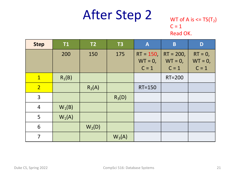### WT of A is  $\leq$  TS(T<sub>2</sub>)  $C = 1$ Read OK.

| <b>Step</b>    | <b>T1</b> | T2       | T3       | $\mathbf{A}$                        | $\overline{\mathbf{B}}$              | D                                  |
|----------------|-----------|----------|----------|-------------------------------------|--------------------------------------|------------------------------------|
|                | 200       | 150      | 175      | $RT = 150$<br>$WT = 0$ ,<br>$C = 1$ | $RT = 200,$<br>$WT = 0$ ,<br>$C = 1$ | $RT = 0$ ,<br>$WT = 0,$<br>$C = 1$ |
| $\mathbf{1}$   | $R_1(B)$  |          |          |                                     | <b>RT=200</b>                        |                                    |
| $\overline{2}$ |           | $R_2(A)$ |          | $RT = 150$                          |                                      |                                    |
| 3              |           |          | $R_3(D)$ |                                     |                                      |                                    |
| $\overline{4}$ | $W_1(B)$  |          |          |                                     |                                      |                                    |
| 5              | $W_1(A)$  |          |          |                                     |                                      |                                    |
| 6              |           | $W_2(D)$ |          |                                     |                                      |                                    |
| $\overline{7}$ |           |          | $W_3(A)$ |                                     |                                      |                                    |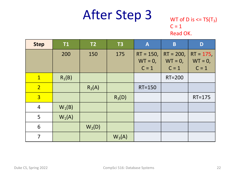### WT of D is  $\leq$  TS(T<sub>3</sub>)  $C = 1$ Read OK.

| <b>Step</b>    | <b>T1</b> | T2       | T3       | $\mathbf{A}$                         | B                                    | D                                   |
|----------------|-----------|----------|----------|--------------------------------------|--------------------------------------|-------------------------------------|
|                | 200       | 150      | 175      | $RT = 150,$<br>$WT = 0$ ,<br>$C = 1$ | $RT = 200,$<br>$WT = 0$ ,<br>$C = 1$ | $RT = 175,$<br>$WT = 0,$<br>$C = 1$ |
| $\mathbf{1}$   | $R_1(B)$  |          |          |                                      | <b>RT=200</b>                        |                                     |
| $\overline{2}$ |           | $R_2(A)$ |          | $RT = 150$                           |                                      |                                     |
| $\overline{3}$ |           |          | $R_3(D)$ |                                      |                                      | $RT = 175$                          |
| $\overline{4}$ | $W_1(B)$  |          |          |                                      |                                      |                                     |
| 5              | $W_1(A)$  |          |          |                                      |                                      |                                     |
| 6              |           | $W_2(D)$ |          |                                      |                                      |                                     |
| $\overline{7}$ |           |          | $W_3(A)$ |                                      |                                      |                                     |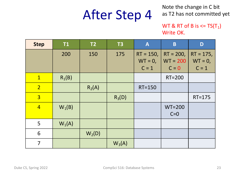Note the change in C bit as T2 has not committed yet

#### WT & RT of B is  $\leq$  TS(T<sub>1</sub>) Write OK.

| <b>Step</b>    | <b>T1</b> | T <sub>2</sub> | T3       | A                                    | B                                    | D                                   |
|----------------|-----------|----------------|----------|--------------------------------------|--------------------------------------|-------------------------------------|
|                | 200       | 150            | 175      | $RT = 150,$<br>$WT = 0$ ,<br>$C = 1$ | $RT = 200,$<br>$WT = 200$<br>$C = 0$ | $RT = 175,$<br>$WT = 0,$<br>$C = 1$ |
| $\mathbf{1}$   | $R_1(B)$  |                |          |                                      | RT=200                               |                                     |
| $\overline{2}$ |           | $R_2(A)$       |          | <b>RT=150</b>                        |                                      |                                     |
| $\overline{3}$ |           |                | $R_3(D)$ |                                      |                                      | $RT = 175$                          |
| $\overline{4}$ | $W_1(B)$  |                |          |                                      | $WT=200$<br>$C=0$                    |                                     |
| 5              | $W_1(A)$  |                |          |                                      |                                      |                                     |
| 6              |           | $W_2(D)$       |          |                                      |                                      |                                     |
| $\overline{7}$ |           |                | $W_3(A)$ |                                      |                                      |                                     |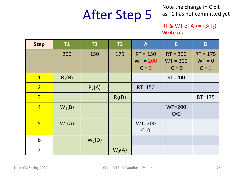Note the change in C bit as T1 has not committed yet

#### RT & WT of  $A \leq TS(T_1)$ **Write ok.**

| <b>Step</b>    | <b>T1</b> | T2       | <b>T3</b> | $\boldsymbol{A}$                    | $\overline{\mathbf{B}}$             | D                                 |
|----------------|-----------|----------|-----------|-------------------------------------|-------------------------------------|-----------------------------------|
|                | 200       | 150      | 175       | $RT = 150$<br>$WT = 200$<br>$C = 0$ | $RT = 200$<br>$WT = 200$<br>$C = 0$ | $RT = 175$<br>$WT = 0$<br>$C = 1$ |
| $\mathbf{1}$   | $R_1(B)$  |          |           |                                     | <b>RT=200</b>                       |                                   |
| $\overline{2}$ |           | $R_2(A)$ |           | <b>RT=150</b>                       |                                     |                                   |
| $\overline{3}$ |           |          | $R_3(D)$  |                                     |                                     | $RT = 175$                        |
| $\overline{4}$ | $W_1(B)$  |          |           |                                     | $WT=200$<br>$C=0$                   |                                   |
| 5 <sup>1</sup> | $W_1(A)$  |          |           | $WT=200$<br>$C=0$                   |                                     |                                   |
| 6              |           | $W_2(D)$ |           |                                     |                                     |                                   |
| 7              |           |          | $W_3(A)$  |                                     |                                     |                                   |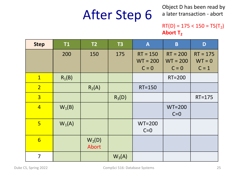Object D has been read by a later transaction - abort

#### $RT(D) = 175 < 150 = TS(T<sub>2</sub>)$ Abort T<sub>2</sub>

| <b>Step</b>    | T1       | T <sub>2</sub>    | <b>T3</b> | $\boldsymbol{A}$                    | $\mathbf B$                         | D                                 |
|----------------|----------|-------------------|-----------|-------------------------------------|-------------------------------------|-----------------------------------|
|                | 200      | 150               | 175       | $RT = 150$<br>$WT = 200$<br>$C = 0$ | $RT = 200$<br>$WT = 200$<br>$C = 0$ | $RT = 175$<br>$WT = 0$<br>$C = 1$ |
| $\mathbf{1}$   | $R_1(B)$ |                   |           |                                     | RT=200                              |                                   |
| 2 <sup>1</sup> |          | $R_2(A)$          |           | <b>RT=150</b>                       |                                     |                                   |
| $\overline{3}$ |          |                   | $R_3(D)$  |                                     |                                     | $RT = 175$                        |
| $\overline{4}$ | $W_1(B)$ |                   |           |                                     | $WT=200$<br>$C=0$                   |                                   |
| $5\overline{}$ | $W_1(A)$ |                   |           | $WT=200$<br>$C=0$                   |                                     |                                   |
| $6\overline{}$ |          | $W_2(D)$<br>Abort |           |                                     |                                     |                                   |
| $\overline{7}$ |          |                   | $W_3(A)$  |                                     |                                     |                                   |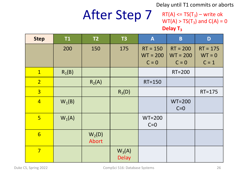Delay until T1 commits or aborts

## After Step 7

 $RT(A) \leq TS(T_3) - write$  ok  $WT(A) > TS(T_3)$  and  $C(A) = 0$ Delay T<sub>3</sub>

| <b>Step</b>     | T1       | T <sub>2</sub>    | <b>T3</b>                | $\mathbf{A}$                        | B                                   | D                                 |
|-----------------|----------|-------------------|--------------------------|-------------------------------------|-------------------------------------|-----------------------------------|
|                 | 200      | 150               | 175                      | $RT = 150$<br>$WT = 200$<br>$C = 0$ | $RT = 200$<br>$WT = 200$<br>$C = 0$ | $RT = 175$<br>$WT = 0$<br>$C = 1$ |
| $\mathbf{1}$    | $R_1(B)$ |                   |                          |                                     | <b>RT=200</b>                       |                                   |
| 2 <sub>1</sub>  |          | $R_2(A)$          |                          | <b>RT=150</b>                       |                                     |                                   |
| $\overline{3}$  |          |                   | $R_3(D)$                 |                                     |                                     | $RT = 175$                        |
| $\overline{4}$  | $W_1(B)$ |                   |                          |                                     | $WT=200$<br>$C=0$                   |                                   |
| 5 <sup>1</sup>  | $W_1(A)$ |                   |                          | $WT=200$<br>$C=0$                   |                                     |                                   |
| $6\overline{6}$ |          | $W_2(D)$<br>Abort |                          |                                     |                                     |                                   |
| $\overline{7}$  |          |                   | $W_3(A)$<br><b>Delay</b> |                                     |                                     |                                   |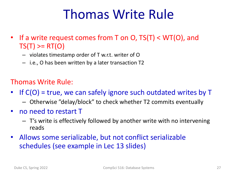# Thomas Write Rule

- If a write request comes from T on O, TS(T) < WT(O), and  $TS(T) \geq RT(O)$ 
	- violates timestamp order of T w.r.t. writer of O
	- i.e., O has been written by a later transaction T2

### Thomas Write Rule:

- If C(O) = true, we can safely ignore such outdated writes by T
	- Otherwise "delay/block" to check whether T2 commits eventually
- no need to restart T
	- T's write is effectively followed by another write with no intervening reads
- Allows some serializable, but not conflict serializable schedules (see example in Lec 13 slides)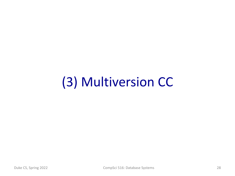# (3) Multiversion CC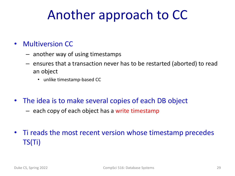# Another approach to CC

### • Multiversion CC

- another way of using timestamps
- ensures that a transaction never has to be restarted (aborted) to read an object
	- unlike timestamp-based CC
- The idea is to make several copies of each DB object
	- each copy of each object has a write timestamp
- Ti reads the most recent version whose timestamp precedes TS(Ti)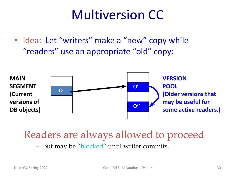## Multiversion CC

• Idea: Let "writers" make a "new" copy while "readers" use an appropriate "old" copy:



### Readers are always allowed to proceed

– But may be "blocked" until writer commits.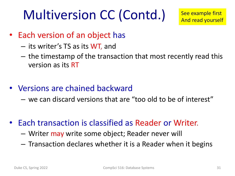# Multiversion CC (Contd.)

- Each version of an object has
	- its writer's TS as its WT, and
	- the timestamp of the transaction that most recently read this version as its RT
- Versions are chained backward
	- we can discard versions that are "too old to be of interest"
- Each transaction is classified as Reader or Writer.
	- Writer may write some object; Reader never will
	- Transaction declares whether it is a Reader when it begins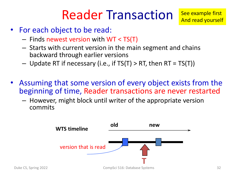# Reader Transaction

See example first And read yourself

- For each object to be read:
	- Finds newest version with WT < TS(T)
	- Starts with current version in the main segment and chains backward through earlier versions
	- $-$  Update RT if necessary (i.e., if TS(T) > RT, then RT = TS(T))
- Assuming that some version of every object exists from the beginning of time, Reader transactions are never restarted
	- However, might block until writer of the appropriate version commits

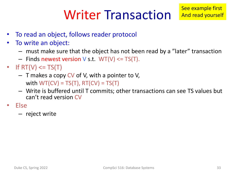# Writer Transaction

- To read an object, follows reader protocol
- To write an object:
	- must make sure that the object has not been read by a "later" transaction
	- $-$  Finds newest version V s.t. WT(V)  $\leq$  TS(T).
- If  $RT(V) \leq T S(T)$ 
	- $-$  T makes a copy CV of V, with a pointer to V, with  $WT(CV) = TS(T)$ ,  $RT(CV) = TS(T)$
	- Write is buffered until T commits; other transactions can see TS values but can't read version CV
- Else
	- reject write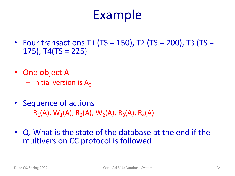## Example

- Four transactions T1 (TS = 150), T2 (TS = 200), T3 (TS =  $175$ ), T4(TS = 225)
- One object A  $-$  Initial version is A<sub>0</sub>
- Sequence of actions
	- $R_1(A)$ , W<sub>1</sub>(A), R<sub>2</sub>(A), W<sub>2</sub>(A), R<sub>3</sub>(A), R<sub>4</sub>(A)
- Q. What is the state of the database at the end if the multiversion CC protocol is followed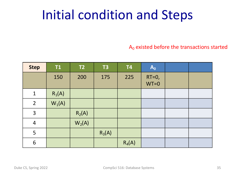# Initial condition and Steps

 $A_0$  existed before the transactions started

| <b>Step</b>    | <b>T1</b> | T2       | <b>T3</b> | <b>T4</b> | $A_0$              |  |
|----------------|-----------|----------|-----------|-----------|--------------------|--|
|                | 150       | 200      | 175       | 225       | $RT=0$ ,<br>$WT=0$ |  |
| $\mathbf{1}$   | $R_1(A)$  |          |           |           |                    |  |
| $\overline{2}$ | $W_1(A)$  |          |           |           |                    |  |
| 3              |           | $R_2(A)$ |           |           |                    |  |
| $\overline{4}$ |           | $W_2(A)$ |           |           |                    |  |
| 5              |           |          | $R_3(A)$  |           |                    |  |
| 6              |           |          |           | $R_4(A)$  |                    |  |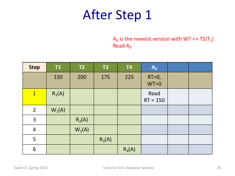$A_0$  is the newest version with WT <=  $TS(T_1)$ Read  $A_0$ 

| <b>Step</b>    | <b>T1</b> | T2       | <b>T3</b> | <b>T4</b> | $A_0$              |  |
|----------------|-----------|----------|-----------|-----------|--------------------|--|
|                | 150       | 200      | 175       | 225       | $RT=0$ ,<br>$WT=0$ |  |
| $\overline{1}$ | $R_1(A)$  |          |           |           | Read<br>$RT = 150$ |  |
| $\overline{2}$ | $W_1(A)$  |          |           |           |                    |  |
| 3              |           | $R_2(A)$ |           |           |                    |  |
| $\overline{4}$ |           | $W_2(A)$ |           |           |                    |  |
| 5              |           |          | $R_3(A)$  |           |                    |  |
| 6              |           |          |           | $R_4(A)$  |                    |  |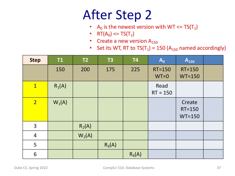- A<sub>0</sub> is the newest version with WT <=  $TS(T_1)$
- RT( $A_0$ ) <= TS( $T_1$ )
- Create a new version  $A_{150}$
- Set its WT, RT to  $TS(T_1) = 150$  (A<sub>150</sub> named accordingly)

| <b>Step</b>    | T1       | T2       | <b>T3</b> | <b>T4</b> | $A_0$                   | $A_{150}$                        |  |
|----------------|----------|----------|-----------|-----------|-------------------------|----------------------------------|--|
|                | 150      | 200      | 175       | 225       | <b>RT=150</b><br>$WT=0$ | <b>RT=150</b><br>$WT=150$        |  |
|                |          |          |           |           |                         |                                  |  |
| $\mathbf{1}$   | $R_1(A)$ |          |           |           | Read<br>$RT = 150$      |                                  |  |
| 2 <sub>1</sub> | $W_1(A)$ |          |           |           |                         | Create<br>$RT = 150$<br>$WT=150$ |  |
| $\overline{3}$ |          | $R_2(A)$ |           |           |                         |                                  |  |
| $\overline{4}$ |          | $W_2(A)$ |           |           |                         |                                  |  |
| 5              |          |          | $R_3(A)$  |           |                         |                                  |  |
| 6              |          |          |           | $R_4(A)$  |                         |                                  |  |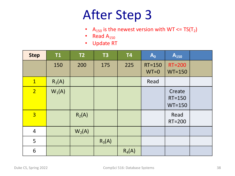- A<sub>150</sub> is the newest version with WT <=  $TS(T_2)$
- Read  $A_{150}$
- Update RT

| <b>Step</b>    | <b>T1</b> | T2       | <b>T3</b> | <b>T4</b> | $A_0$                   | $A_{150}$                        |  |
|----------------|-----------|----------|-----------|-----------|-------------------------|----------------------------------|--|
|                | 150       | 200      | 175       | 225       | <b>RT=150</b><br>$WT=0$ | $RT = 200$<br>$WT=150$           |  |
| $\mathbf{1}$   | $R_1(A)$  |          |           |           | Read                    |                                  |  |
| $\overline{2}$ | $W_1(A)$  |          |           |           |                         | Create<br>$RT = 150$<br>$WT=150$ |  |
| $\overline{3}$ |           | $R_2(A)$ |           |           |                         | Read<br>RT=200                   |  |
| $\overline{4}$ |           | $W_2(A)$ |           |           |                         |                                  |  |
| 5              |           |          | $R_3(A)$  |           |                         |                                  |  |
| 6              |           |          |           | $R_4(A)$  |                         |                                  |  |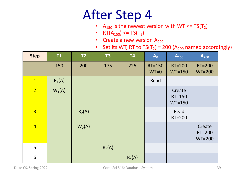- A<sub>150</sub> is the newest version with WT <=  $TS(T_2)$
- RT $(A_{150}) \leq T S(T_2)$
- Create a new version  $A_{200}$
- Set its WT, RT to  $TS(T_2) = 200$  (A<sub>200</sub> named accordingly)

| <b>Step</b>    | T1       | T2       | <b>T3</b> | T <sub>4</sub> | $A_0$                   | $A_{150}$                        | $A_{200}$                    |
|----------------|----------|----------|-----------|----------------|-------------------------|----------------------------------|------------------------------|
|                | 150      | 200      | 175       | 225            | <b>RT=150</b><br>$WT=0$ | <b>RT=200</b><br>$WT=150$        | <b>RT=200</b><br>$WT=200$    |
| $\mathbf{1}$   | $R_1(A)$ |          |           |                | Read                    |                                  |                              |
| $\overline{2}$ | $W_1(A)$ |          |           |                |                         | Create<br>$RT = 150$<br>$WT=150$ |                              |
| $\overline{3}$ |          | $R_2(A)$ |           |                |                         | Read<br>RT=200                   |                              |
| $\overline{4}$ |          | $W_2(A)$ |           |                |                         |                                  | Create<br>RT=200<br>$WT=200$ |
| 5              |          |          | $R_3(A)$  |                |                         |                                  |                              |
| 6              |          |          |           | $R_4(A)$       |                         |                                  |                              |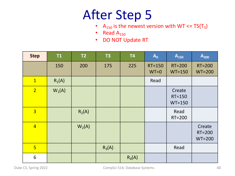- A<sub>150</sub> is the newest version with WT <=  $TS(T_3)$
- Read  $A_{150}$
- DO NOT Update RT

| <b>Step</b>    | T1       | T2       | <b>T3</b> | <b>T4</b> | $A_0$                   | A <sub>150</sub>                 | $A_{200}$                    |
|----------------|----------|----------|-----------|-----------|-------------------------|----------------------------------|------------------------------|
|                | 150      | 200      | 175       | 225       | <b>RT=150</b><br>$WT=0$ | <b>RT=200</b><br>$WT=150$        | <b>RT=200</b><br>$WT=200$    |
| $\mathbf{1}$   | $R_1(A)$ |          |           |           | Read                    |                                  |                              |
| $\overline{2}$ | $W_1(A)$ |          |           |           |                         | Create<br>$RT = 150$<br>$WT=150$ |                              |
| $\overline{3}$ |          | $R_2(A)$ |           |           |                         | Read<br>RT=200                   |                              |
| $\overline{4}$ |          | $W_2(A)$ |           |           |                         |                                  | Create<br>RT=200<br>$WT=200$ |
| $5\overline{}$ |          |          | $R_3(A)$  |           |                         | Read                             |                              |
| 6              |          |          |           | $R_4(A)$  |                         |                                  |                              |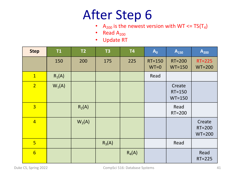- A<sub>200</sub> is the newest version with WT <=  $TS(T_4)$
- Read  $A_{200}$
- Update RT

| <b>Step</b>     | <b>T1</b> | T2       | <b>T3</b> | <b>T4</b> | $A_0$                | $A_{150}$                    | $A_{200}$                    |
|-----------------|-----------|----------|-----------|-----------|----------------------|------------------------------|------------------------------|
|                 | 150       | 200      | 175       | 225       | $RT = 150$<br>$WT=0$ | <b>RT=200</b><br>$WT=150$    | $RT = 225$<br>$WT=200$       |
| $\mathbf{1}$    | $R_1(A)$  |          |           |           | Read                 |                              |                              |
| 2 <sup>1</sup>  | $W_1(A)$  |          |           |           |                      | Create<br>RT=150<br>$WT=150$ |                              |
| $\overline{3}$  |           | $R_2(A)$ |           |           |                      | Read<br>RT=200               |                              |
| $\overline{4}$  |           | $W_2(A)$ |           |           |                      |                              | Create<br>RT=200<br>$WT=200$ |
| 5 <sup>1</sup>  |           |          | $R_3(A)$  |           |                      | Read                         |                              |
| $6\overline{6}$ |           |          |           | $R_4(A)$  |                      |                              | Read<br>$RT = 225$           |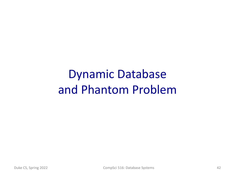## Dynamic Database and Phantom Problem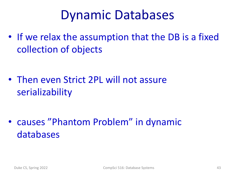## Dynamic Databases

• If we relax the assumption that the DB is a fixed collection of objects

• Then even Strict 2PL will not assure serializability

• causes "Phantom Problem" in dynamic databases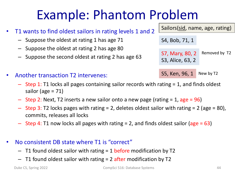## Example: Phantom Problem

- T1 wants to find oldest sailors in rating levels 1 and 2
	- Suppose the oldest at rating 1 has age 71
	- Suppose the oldest at rating 2 has age 80
	- Suppose the second oldest at rating 2 has age 63
- Another transaction T2 intervenes:
	- Step 1: T1 locks all pages containing sailor records with rating = 1, and finds oldest sailor (age  $= 71$ )
	- $-$  Step 2: Next, T2 inserts a new sailor onto a new page (rating  $= 1$ , age  $= 96$ )
	- Step 3: T2 locks pages with rating  $= 2$ , deletes oldest sailor with rating  $= 2$  (age  $= 80$ ), commits, releases all locks
	- Step 4: T1 now locks all pages with rating = 2, and finds oldest sailor (age = 63)
- No consistent DB state where T1 is "correct"
	- $-$  T1 found oldest sailor with rating = 1 before modification by T2
	- $-$  T1 found oldest sailor with rating  $= 2$  after modification by T2

Sailors(sid, name, age, rating) S4, Bob, 71, 1 S7, Mary, 80, 2 S3, Alice, 63, 2 Removed by T2

S5, Ken, 96, 1 New by T2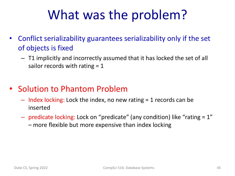# What was the problem?

- Conflict serializability guarantees serializability only if the set of objects is fixed
	- T1 implicitly and incorrectly assumed that it has locked the set of all sailor records with rating  $= 1$
- Solution to Phantom Problem
	- $-$  Index locking: Lock the index, no new rating  $=$  1 records can be inserted
	- predicate locking: Lock on "predicate" (any condition) like "rating = 1" – more flexible but more expensive than index locking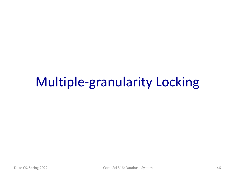## Multiple-granularity Locking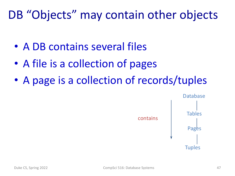### DB "Objects" may contain other objects

- A DB contains several files
- A file is a collection of pages
- A page is a collection of records/tuples

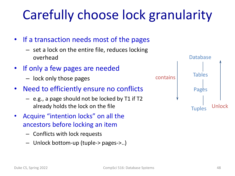# Carefully choose lock granularity

- If a transaction needs most of the pages
	- set a lock on the entire file, reduces locking overhead
- If only a few pages are needed
	- lock only those pages
- Need to efficiently ensure no conflicts
	- e.g., a page should not be locked by T1 if T2 already holds the lock on the file
- Acquire "intention locks" on all the ancestors before locking an item
	- Conflicts with lock requests
	- Unlock bottom-up (tuple-> pages->..)

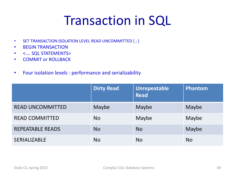# Transaction in SQL

- SET TRANSACTION ISOLATION LEVEL READ UNCOMMITTED [; ]
- BEGIN TRANSACTION
- <…. SQL STATEMENTS>
- COMMIT or ROLLBACK
- Four isolation levels : performance and serializability

|                         | <b>Dirty Read</b> | <b>Unrepeatable</b><br><b>Read</b> | Phantom   |
|-------------------------|-------------------|------------------------------------|-----------|
| <b>READ UNCOMMITTED</b> | Maybe             | Maybe                              | Maybe     |
| <b>READ COMMITTED</b>   | No.               | Maybe                              | Maybe     |
| <b>REPEATABLE READS</b> | <b>No</b>         | <b>No</b>                          | Maybe     |
| <b>SERIALIZABLE</b>     | <b>No</b>         | <b>No</b>                          | <b>No</b> |